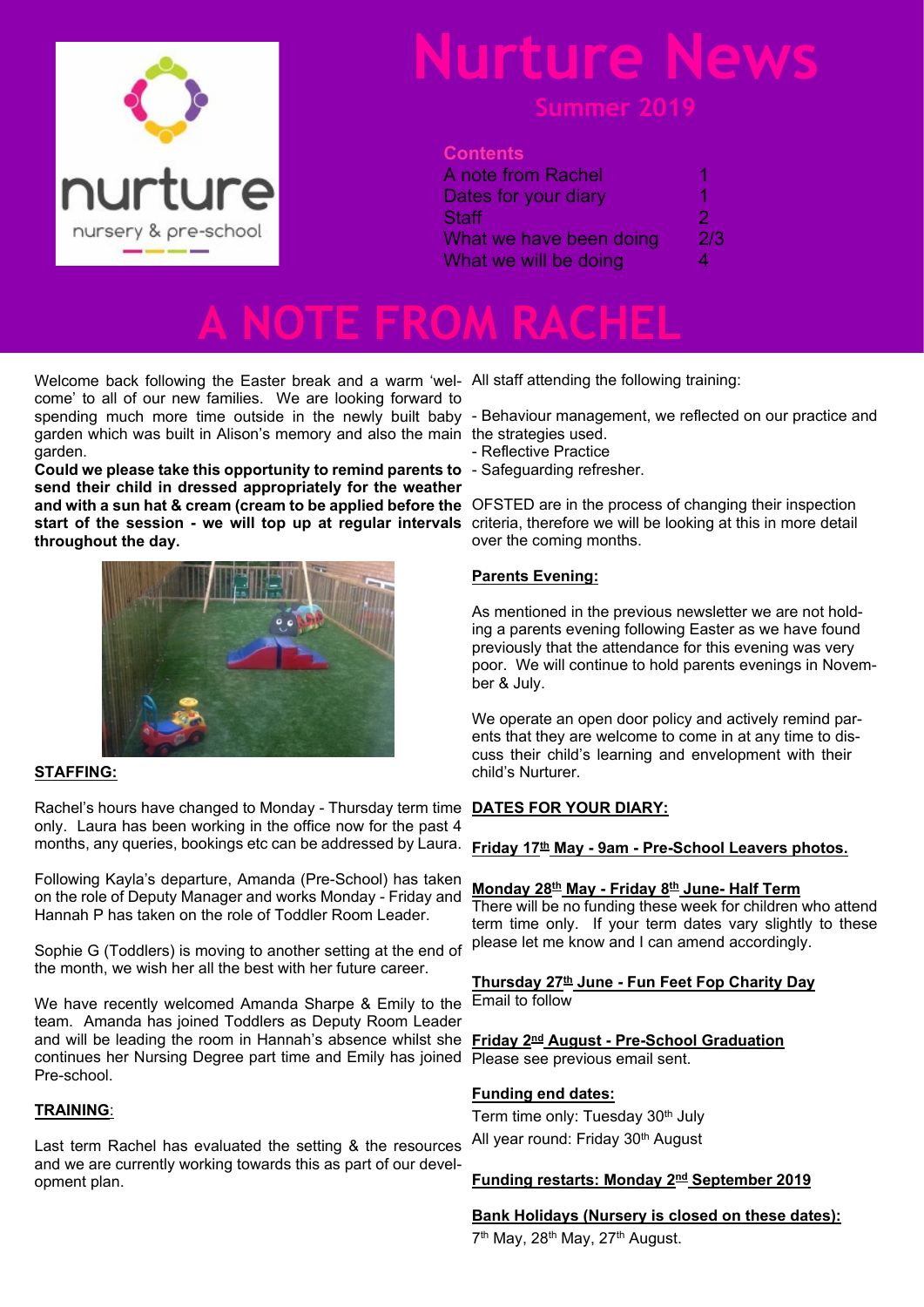

## **Nurture News**

#### **Contents**

| A note from Rachel      | 1   |
|-------------------------|-----|
| Dates for your diary    | 1   |
| <b>Staff</b>            | 2   |
| What we have been doing | 2/3 |
| What we will be doing   |     |

**A NOTE FROM RACHEL**

Welcome back following the Easter break and a warm 'wel-All staff attending the following training: come' to all of our new families. We are looking forward to spending much more time outside in the newly built baby - Behaviour management, we reflected on our practice and garden which was built in Alison's memory and also the main the strategies used. garden.

**Could we please take this opportunity to remind parents to** - Safeguarding refresher. **send their child in dressed appropriately for the weather and with a sun hat & cream (cream to be applied before the** OFSTED are in the process of changing their inspection **start of the session - we will top up at regular intervals throughout the day.**



#### **STAFFING:**

Rachel's hours have changed to Monday - Thursday term time **DATES FOR YOUR DIARY:** only. Laura has been working in the office now for the past 4

Following Kayla's departure, Amanda (Pre-School) has taken on the role of Deputy Manager and works Monday - Friday and Hannah P has taken on the role of Toddler Room Leader.

Sophie G (Toddlers) is moving to another setting at the end of the month, we wish her all the best with her future career.

We have recently welcomed Amanda Sharpe & Emily to the Email to follow team. Amanda has joined Toddlers as Deputy Room Leader and will be leading the room in Hannah's absence whilst she continues her Nursing Degree part time and Emily has joined Please see previous email sent. Pre-school.

### **TRAINING**:

Last term Rachel has evaluated the setting & the resources and we are currently working towards this as part of our development plan.

- Reflective Practice
- 

criteria, therefore we will be looking at this in more detail over the coming months.

#### **Parents Evening:**

As mentioned in the previous newsletter we are not holding a parents evening following Easter as we have found previously that the attendance for this evening was very poor. We will continue to hold parents evenings in November & July.

We operate an open door policy and actively remind parents that they are welcome to come in at any time to discuss their child's learning and envelopment with their child's Nurturer.

#### months, any queries, bookings etc can be addressed by Laura. **Friday 17th May - 9am - Pre-School Leavers photos.**

#### **Monday 28th May - Friday 8th June- Half Term**

There will be no funding these week for children who attend term time only. If your term dates vary slightly to these please let me know and I can amend accordingly.

### **Thursday 27th June - Fun Feet Fop Charity Day**

**Friday 2nd August - Pre-School Graduation**

#### **Funding end dates:**

Term time only: Tuesday 30<sup>th</sup> July All year round: Friday 30<sup>th</sup> August

#### **Funding restarts: Monday 2nd September 2019**

**Bank Holidays (Nursery is closed on these dates):**

7<sup>th</sup> May, 28<sup>th</sup> May, 27<sup>th</sup> August.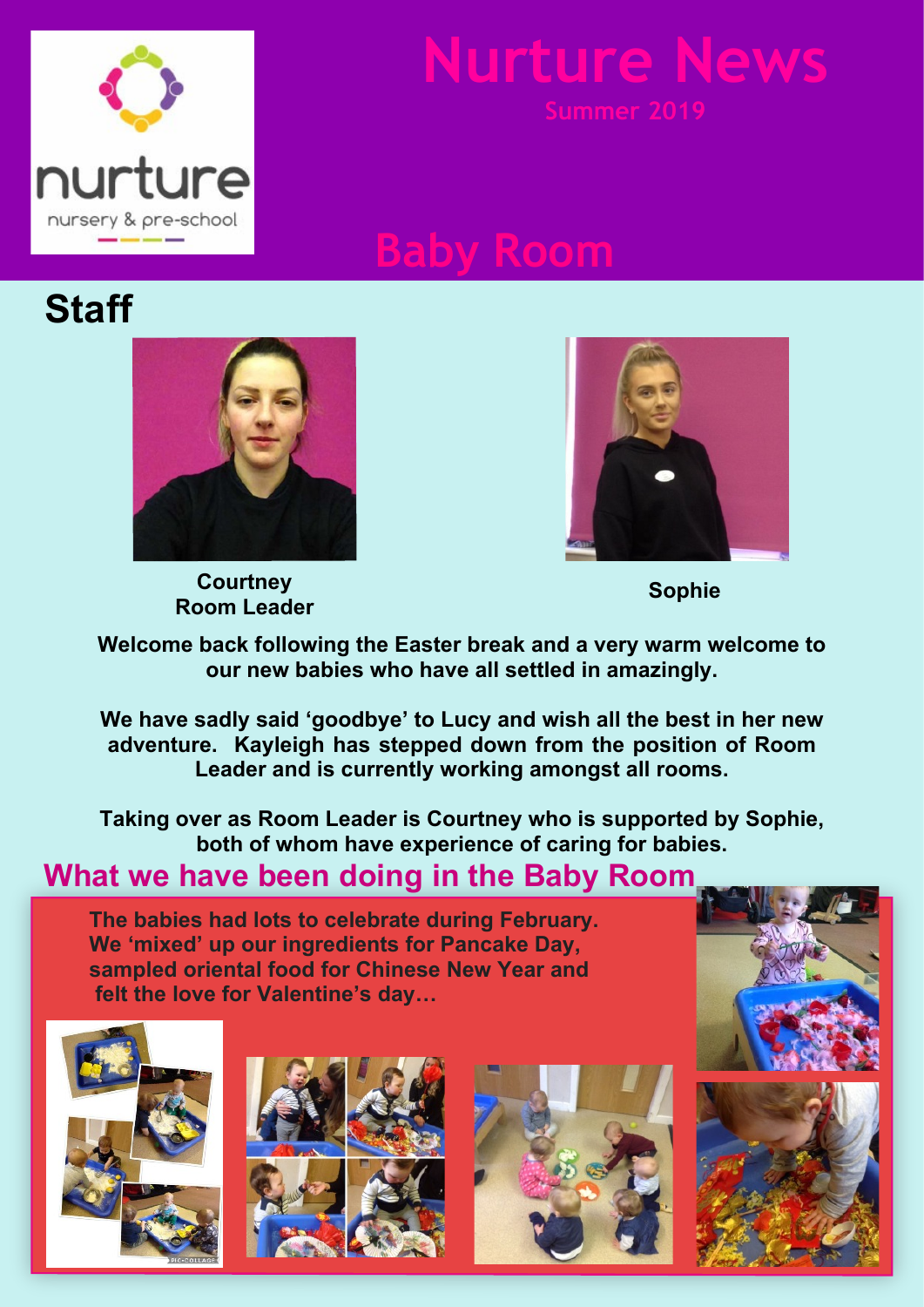

### **Nurture News Summer 2019**

### **Baby Room**

### **Staff**



**Courtney Room Leader**



**Sophie**

**Welcome back following the Easter break and a very warm welcome to our new babies who have all settled in amazingly.**

**We have sadly said 'goodbye' to Lucy and wish all the best in her new adventure. Kayleigh has stepped down from the position of Room Leader and is currently working amongst all rooms.**

**Taking over as Room Leader is Courtney who is supported by Sophie, both of whom have experience of caring for babies.**

### **What we have been doing in the Baby Room**

**The babies had lots to celebrate during February. We 'mixed' up our ingredients for Pancake Day, sampled oriental food for Chinese New Year and felt the love for Valentine's day…**









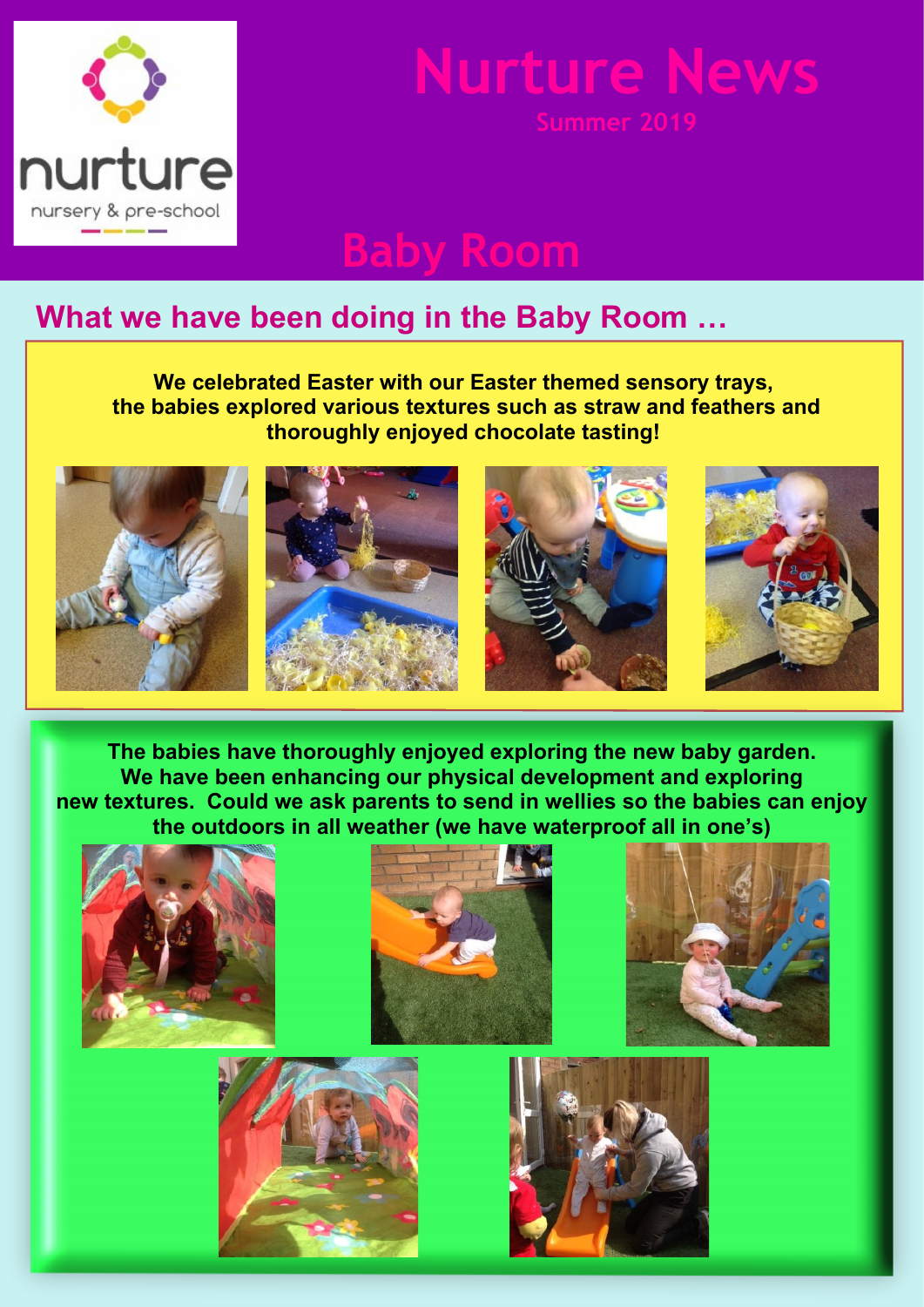

# **Nurture News**

## **Baby Room**

### **What we have been doing in the Baby Room …**

**We celebrated Easter with our Easter themed sensory trays, the babies explored various textures such as straw and feathers and thoroughly enjoyed chocolate tasting!**



**The babies have thoroughly enjoyed exploring the new baby garden. We have been enhancing our physical development and exploring new textures. Could we ask parents to send in wellies so the babies can enjoy the outdoors in all weather (we have waterproof all in one's)**